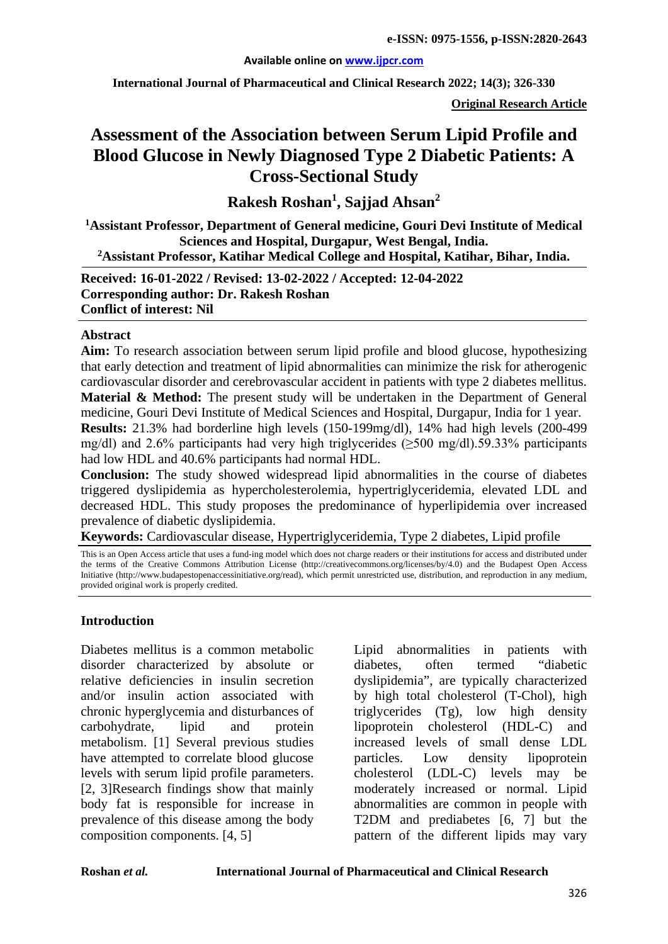#### **Available online on [www.ijpcr.com](http://www.ijpcr.com/)**

**International Journal of Pharmaceutical and Clinical Research 2022; 14(3); 326-330**

**Original Research Article**

# **Assessment of the Association between Serum Lipid Profile and Blood Glucose in Newly Diagnosed Type 2 Diabetic Patients: A Cross-Sectional Study**

**Rakesh Roshan1 , Sajjad Ahsan<sup>2</sup>**

**1 Assistant Professor, Department of General medicine, Gouri Devi Institute of Medical Sciences and Hospital, Durgapur, West Bengal, India. 2Assistant Professor, Katihar Medical College and Hospital, Katihar, Bihar, India.**

**Received: 16-01-2022 / Revised: 13-02-2022 / Accepted: 12-04-2022 Corresponding author: Dr. Rakesh Roshan Conflict of interest: Nil**

#### **Abstract**

**Aim:** To research association between serum lipid profile and blood glucose, hypothesizing that early detection and treatment of lipid abnormalities can minimize the risk for atherogenic cardiovascular disorder and cerebrovascular accident in patients with type 2 diabetes mellitus. **Material & Method:** The present study will be undertaken in the Department of General medicine, Gouri Devi Institute of Medical Sciences and Hospital, Durgapur, India for 1 year. **Results:** 21.3% had borderline high levels (150-199mg/dl), 14% had high levels (200-499 mg/dl) and 2.6% participants had very high triglycerides (≥500 mg/dl).59.33% participants had low HDL and 40.6% participants had normal HDL.

**Conclusion:** The study showed widespread lipid abnormalities in the course of diabetes triggered dyslipidemia as hypercholesterolemia, hypertriglyceridemia, elevated LDL and decreased HDL. This study proposes the predominance of hyperlipidemia over increased prevalence of diabetic dyslipidemia.

**Keywords:** Cardiovascular disease, Hypertriglyceridemia, Type 2 diabetes, Lipid profile

This is an Open Access article that uses a fund-ing model which does not charge readers or their institutions for access and distributed under the terms of the Creative Commons Attribution License (http://creativecommons.org/licenses/by/4.0) and the Budapest Open Access Initiative (http://www.budapestopenaccessinitiative.org/read), which permit unrestricted use, distribution, and reproduction in any medium, provided original work is properly credited.

#### **Introduction**

Diabetes mellitus is a common metabolic disorder characterized by absolute or relative deficiencies in insulin secretion and/or insulin action associated with chronic hyperglycemia and disturbances of carbohydrate, lipid and protein metabolism. [1] Several previous studies have attempted to correlate blood glucose levels with serum lipid profile parameters. [2, 3]Research findings show that mainly body fat is responsible for increase in prevalence of this disease among the body composition components. [4, 5]

Lipid abnormalities in patients with diabetes, often termed "diabetic dyslipidemia", are typically characterized by high total cholesterol (T-Chol), high triglycerides (Tg), low high density lipoprotein cholesterol (HDL-C) and increased levels of small dense LDL particles. Low density lipoprotein cholesterol (LDL-C) levels may be moderately increased or normal. Lipid abnormalities are common in people with T2DM and prediabetes [6, 7] but the pattern of the different lipids may vary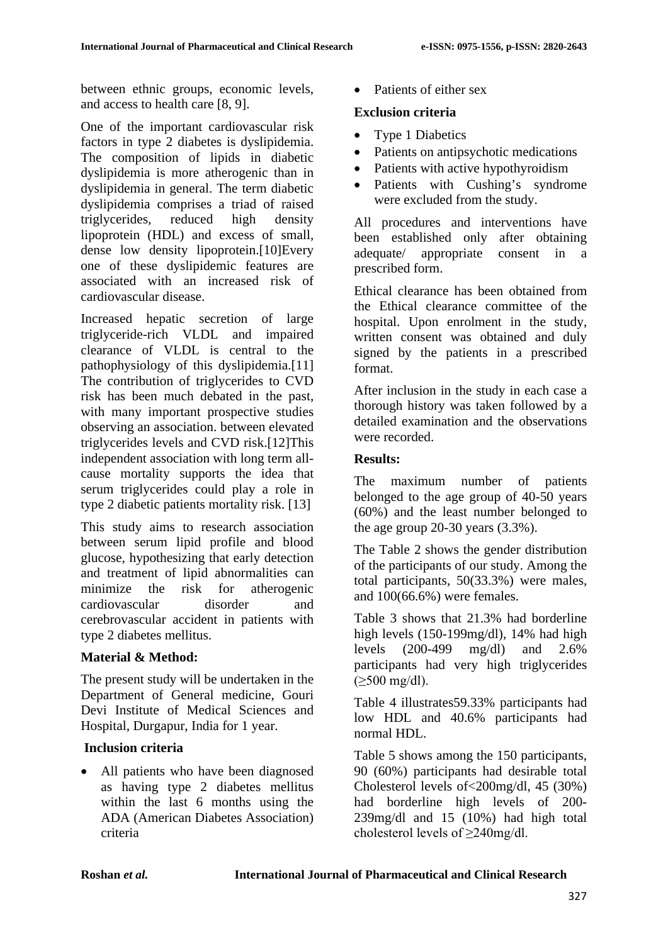between ethnic groups, economic levels, and access to health care [8, 9].

One of the important cardiovascular risk factors in type 2 diabetes is dyslipidemia. The composition of lipids in diabetic dyslipidemia is more atherogenic than in dyslipidemia in general. The term diabetic dyslipidemia comprises a triad of raised triglycerides, reduced high density lipoprotein (HDL) and excess of small, dense low density lipoprotein.[10]Every one of these dyslipidemic features are associated with an increased risk of cardiovascular disease.

Increased hepatic secretion of large triglyceride-rich VLDL and impaired clearance of VLDL is central to the pathophysiology of this dyslipidemia.[11] The contribution of triglycerides to CVD risk has been much debated in the past, with many important prospective studies observing an association. between elevated triglycerides levels and CVD risk.[12]This independent association with long term allcause mortality supports the idea that serum triglycerides could play a role in type 2 diabetic patients mortality risk. [13]

This study aims to research association between serum lipid profile and blood glucose, hypothesizing that early detection and treatment of lipid abnormalities can minimize the risk for atherogenic cardiovascular disorder and cerebrovascular accident in patients with type 2 diabetes mellitus.

## **Material & Method:**

The present study will be undertaken in the Department of General medicine, Gouri Devi Institute of Medical Sciences and Hospital, Durgapur, India for 1 year.

## **Inclusion criteria**

• All patients who have been diagnosed as having type 2 diabetes mellitus within the last 6 months using the ADA (American Diabetes Association) criteria

Patients of either sex

### **Exclusion criteria**

- Type 1 Diabetics
- Patients on antipsychotic medications
- Patients with active hypothyroidism
- Patients with Cushing's syndrome were excluded from the study.

All procedures and interventions have been established only after obtaining adequate/ appropriate consent in a prescribed form.

Ethical clearance has been obtained from the Ethical clearance committee of the hospital. Upon enrolment in the study, written consent was obtained and duly signed by the patients in a prescribed format.

After inclusion in the study in each case a thorough history was taken followed by a detailed examination and the observations were recorded.

### **Results:**

The maximum number of patients belonged to the age group of 40-50 years (60%) and the least number belonged to the age group  $20-30$  years  $(3.3\%)$ .

The Table 2 shows the gender distribution of the participants of our study. Among the total participants, 50(33.3%) were males, and 100(66.6%) were females.

Table 3 shows that 21.3% had borderline high levels (150-199mg/dl), 14% had high levels (200-499 mg/dl) and 2.6% participants had very high triglycerides  $( \geq 500 \text{ mg/dl}).$ 

Table 4 illustrates59.33% participants had low HDL and 40.6% participants had normal HDL.

Table 5 shows among the 150 participants, 90 (60%) participants had desirable total Cholesterol levels of<200mg/dl, 45 (30%) had borderline high levels of 200- 239mg/dl and 15 (10%) had high total cholesterol levels of ≥240mg/dl.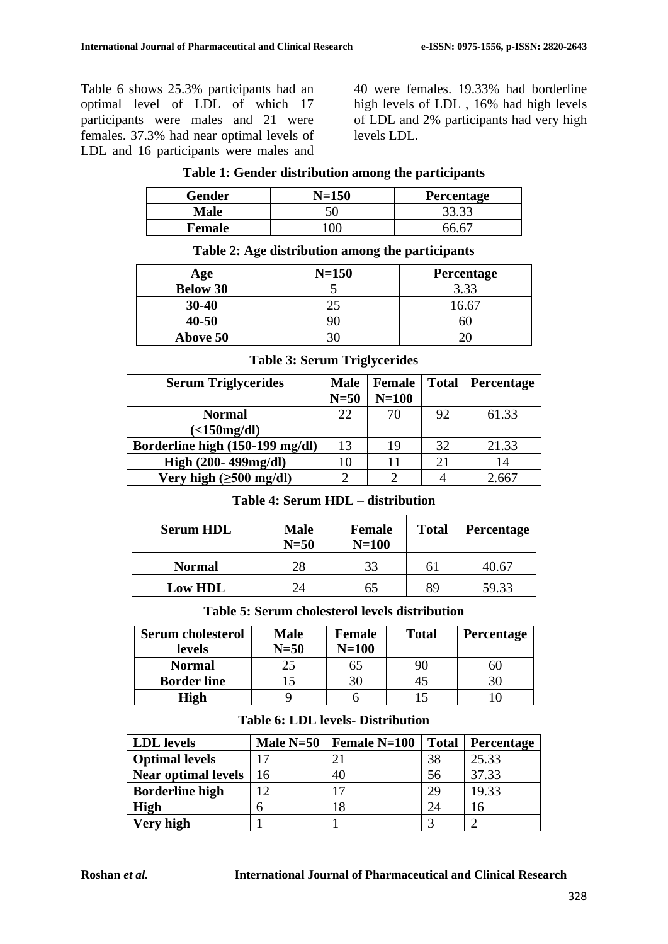Table 6 shows 25.3% participants had an optimal level of LDL of which 17 participants were males and 21 were females. 37.3% had near optimal levels of LDL and 16 participants were males and 40 were females. 19.33% had borderline high levels of LDL , 16% had high levels of LDL and 2% participants had very high levels LDL.

| Gender        | $N = 150$ | <b>Percentage</b> |
|---------------|-----------|-------------------|
| <b>Male</b>   |           | 33.33             |
| <b>Female</b> | `)(       | $\sim$ 6 $\sim$   |

**Table 2: Age distribution among the participants**

#### **Table 1: Gender distribution among the participants**

| Age             | $N = 150$ | <b>Percentage</b> |  |  |
|-----------------|-----------|-------------------|--|--|
| <b>Below 30</b> |           | 3.33              |  |  |
| $30 - 40$       |           | 16.67             |  |  |
| $40 - 50$       |           |                   |  |  |
| Above 50        |           |                   |  |  |

## **Table 3: Serum Triglycerides**

| <b>Serum Triglycerides</b>           | <b>Male</b> | <b>Female</b> | <b>Total</b> | <b>Percentage</b> |
|--------------------------------------|-------------|---------------|--------------|-------------------|
|                                      | $N=50$      | $N=100$       |              |                   |
| <b>Normal</b>                        | 22          | 70            | 92           | 61.33             |
| $\left($ <150 mg/dl)                 |             |               |              |                   |
| Borderline high (150-199 mg/dl)      | 13          | 19            | 32           | 21.33             |
| High (200-499mg/dl)                  | 10          | 11            | 21           | 14                |
| Very high $(\geq 500 \text{ mg/dl})$ |             | ി             |              | 2.66'             |

#### **Table 4: Serum HDL – distribution**

| <b>Serum HDL</b> | <b>Male</b><br>$N=50$ | <b>Female</b><br>$N=100$ | <b>Total</b> | <b>Percentage</b> |
|------------------|-----------------------|--------------------------|--------------|-------------------|
| <b>Normal</b>    | 28                    | 33                       | 61           | 40.67             |
| <b>Low HDL</b>   | $2\pi$                | 65                       | 89           | 59.33             |

#### **Table 5: Serum cholesterol levels distribution**

| <b>Serum cholesterol</b> | Male     | Female  | <b>Total</b> | <b>Percentage</b> |
|--------------------------|----------|---------|--------------|-------------------|
| levels                   | $N = 50$ | $N=100$ |              |                   |
| <b>Normal</b>            |          | 6D      |              |                   |
| <b>Border line</b>       |          |         |              |                   |
| High                     |          |         |              |                   |

#### **Table 6: LDL levels- Distribution**

| <b>LDL</b> levels          | Male $N=50$ | <b>Female N=100</b> | <b>Total</b> | <b>Percentage</b> |
|----------------------------|-------------|---------------------|--------------|-------------------|
| <b>Optimal levels</b>      |             | 21                  | 38           | 25.33             |
| <b>Near optimal levels</b> | 16          | 40                  | 56           | 37.33             |
| <b>Borderline high</b>     |             |                     | 29           | 19.33             |
| <b>High</b>                |             |                     | 24           | 16                |
| Very high                  |             |                     |              |                   |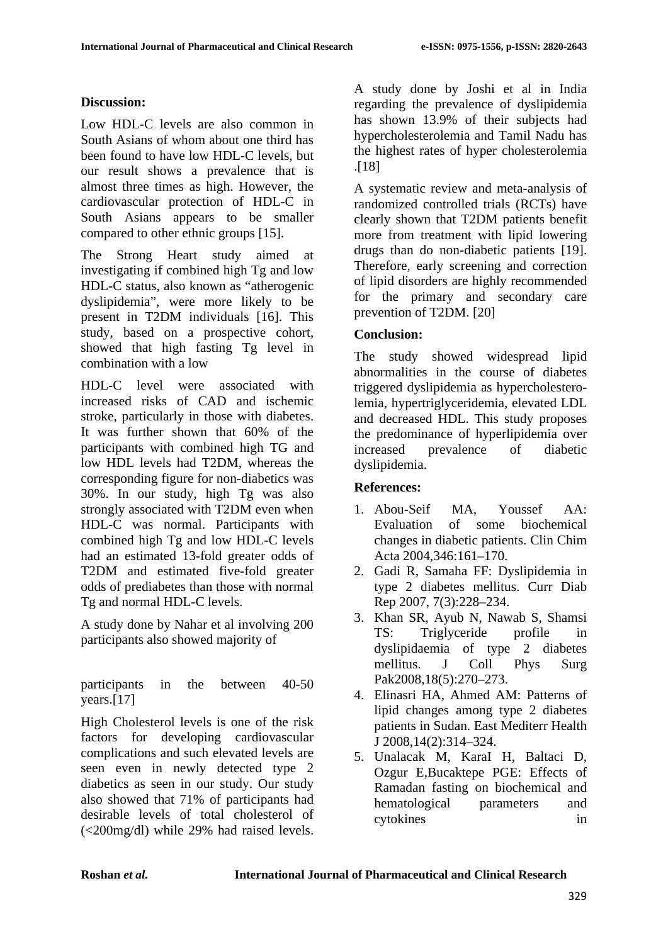## **Discussion:**

Low HDL-C levels are also common in South Asians of whom about one third has been found to have low HDL-C levels, but our result shows a prevalence that is almost three times as high. However, the cardiovascular protection of HDL-C in South Asians appears to be smaller compared to other ethnic groups [15].

The Strong Heart study aimed at investigating if combined high Tg and low HDL-C status, also known as "atherogenic dyslipidemia", were more likely to be present in T2DM individuals [16]. This study, based on a prospective cohort, showed that high fasting Tg level in combination with a low

HDL-C level were associated with increased risks of CAD and ischemic stroke, particularly in those with diabetes. It was further shown that 60% of the participants with combined high TG and low HDL levels had T2DM, whereas the corresponding figure for non-diabetics was 30%. In our study, high Tg was also strongly associated with T2DM even when HDL-C was normal. Participants with combined high Tg and low HDL-C levels had an estimated 13-fold greater odds of T2DM and estimated five-fold greater odds of prediabetes than those with normal Tg and normal HDL-C levels.

A study done by Nahar et al involving 200 participants also showed majority of

participants in the between 40-50 years.[17]

High Cholesterol levels is one of the risk factors for developing cardiovascular complications and such elevated levels are seen even in newly detected type 2 diabetics as seen in our study. Our study also showed that 71% of participants had desirable levels of total cholesterol of (<200mg/dl) while 29% had raised levels. A study done by Joshi et al in India regarding the prevalence of dyslipidemia has shown 13.9% of their subjects had hypercholesterolemia and Tamil Nadu has the highest rates of hyper cholesterolemia .[18]

A systematic review and meta-analysis of randomized controlled trials (RCTs) have clearly shown that T2DM patients benefit more from treatment with lipid lowering drugs than do non-diabetic patients [19]. Therefore, early screening and correction of lipid disorders are highly recommended for the primary and secondary care prevention of T2DM. [20]

## **Conclusion:**

The study showed widespread lipid abnormalities in the course of diabetes triggered dyslipidemia as hypercholesterolemia, hypertriglyceridemia, elevated LDL and decreased HDL. This study proposes the predominance of hyperlipidemia over increased prevalence of diabetic dyslipidemia.

## **References:**

- 1. Abou-Seif MA, Youssef AA: Evaluation of some biochemical changes in diabetic patients. Clin Chim Acta 2004,346:161–170.
- 2. Gadi R, Samaha FF: Dyslipidemia in type 2 diabetes mellitus. Curr Diab Rep 2007, 7(3):228–234.
- 3. Khan SR, Ayub N, Nawab S, Shamsi TS: Triglyceride profile in dyslipidaemia of type 2 diabetes mellitus. J Coll Phys Surg Pak2008,18(5):270–273.
- 4. Elinasri HA, Ahmed AM: Patterns of lipid changes among type 2 diabetes patients in Sudan. East Mediterr Health J 2008,14(2):314–324.
- 5. Unalacak M, KaraI H, Baltaci D, Ozgur E,Bucaktepe PGE: Effects of Ramadan fasting on biochemical and hematological parameters and cytokines in